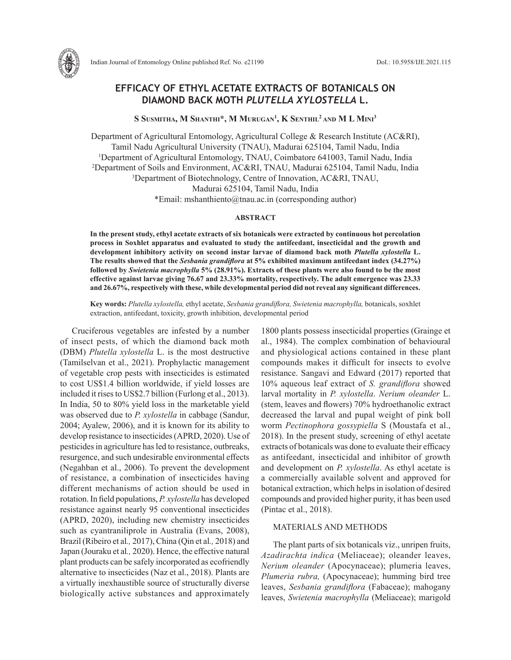

# **EFFICACY OF ETHYL ACETATE EXTRACTS OF BOTANICALS ON DIAMOND BACK MOTH** *PLUTELLA XYLOSTELLA* **L.**

**S Susmitha, M Shanthi\*, M Murugan1 , K Senthil2 and M L Mini3**

Department of Agricultural Entomology, Agricultural College & Research Institute (AC&RI), Tamil Nadu Agricultural University (TNAU), Madurai 625104, Tamil Nadu, India 1 Department of Agricultural Entomology, TNAU, Coimbatore 641003, Tamil Nadu, India 2 Department of Soils and Environment, AC&RI, TNAU, Madurai 625104, Tamil Nadu, India 3 Department of Biotechnology, Centre of Innovation, AC&RI, TNAU, Madurai 625104, Tamil Nadu, India \*Email: mshanthiento@tnau.ac.in (corresponding author)

#### **ABSTRACT**

**In the present study, ethyl acetate extracts of six botanicals were extracted by continuous hot percolation process in Soxhlet apparatus and evaluated to study the antifeedant, insecticidal and the growth and development inhibitory activity on second instar larvae of diamond back moth** *Plutella xylostella* **L. The results showed that the** *Sesbania grandiflora* **at 5% exhibited maximum antifeedant index (34.27%) followed by** *Swietenia macrophylla* **5% (28.91%). Extracts of these plants were also found to be the most effective against larvae giving 76.67 and 23.33% mortality, respectively. The adult emergence was 23.33 and 26.67%, respectively with these, while developmental period did not reveal any significant differences.** 

**Key words:** *Plutella xylostella,* ethyl acetate, *Sesbania grandiflora, Swietenia macrophylla,* botanicals, soxhlet extraction, antifeedant, toxicity, growth inhibition, developmental period

Cruciferous vegetables are infested by a number of insect pests, of which the diamond back moth (DBM) *Plutella xylostella* L. is the most destructive (Tamilselvan et al., 2021). Prophylactic management of vegetable crop pests with insecticides is estimated to cost US\$1.4 billion worldwide, if yield losses are included it rises to US\$2.7 billion (Furlong et al., 2013). In India, 50 to 80% yield loss in the marketable yield was observed due to *P. xylostella* in cabbage (Sandur, 2004; Ayalew, 2006), and it is known for its ability to develop resistance to insecticides (APRD, 2020). Use of pesticides in agriculture has led to resistance, outbreaks, resurgence, and such undesirable environmental effects (Negahban et al., 2006). To prevent the development of resistance, a combination of insecticides having different mechanisms of action should be used in rotation. In field populations, *P. xylostella* has developed resistance against nearly 95 conventional insecticides (APRD, 2020), including new chemistry insecticides such as cyantraniliprole in Australia (Evans, 2008), Brazil (Ribeiro et al*.,* 2017), China (Qin et al*.,* 2018) and Japan (Jouraku et al*.,* 2020). Hence, the effective natural plant products can be safely incorporated as ecofriendly alternative to insecticides (Naz et al., 2018). Plants are a virtually inexhaustible source of structurally diverse biologically active substances and approximately

1800 plants possess insecticidal properties (Grainge et al., 1984). The complex combination of behavioural and physiological actions contained in these plant compounds makes it difficult for insects to evolve resistance. Sangavi and Edward (2017) reported that 10% aqueous leaf extract of *S. grandiflora* showed larval mortality in *P. xylostella*. *Nerium oleander* L. (stem, leaves and flowers) 70% hydroethanolic extract decreased the larval and pupal weight of pink boll worm *Pectinophora gossypiella* S (Moustafa et al., 2018). In the present study, screening of ethyl acetate extracts of botanicals was done to evaluate their efficacy as antifeedant, insecticidal and inhibitor of growth and development on *P. xylostella*. As ethyl acetate is a commercially available solvent and approved for botanical extraction, which helps in isolation of desired compounds and provided higher purity, it has been used (Pintac et al., 2018).

## MATERIALS AND METHODS

The plant parts of six botanicals viz., unripen fruits, *Azadirachta indica* (Meliaceae); oleander leaves, *Nerium oleander* (Apocynaceae); plumeria leaves, *Plumeria rubra,* (Apocynaceae); humming bird tree leaves, *Sesbania grandiflora* (Fabaceae); mahogany leaves, *Swietenia macrophylla* (Meliaceae); marigold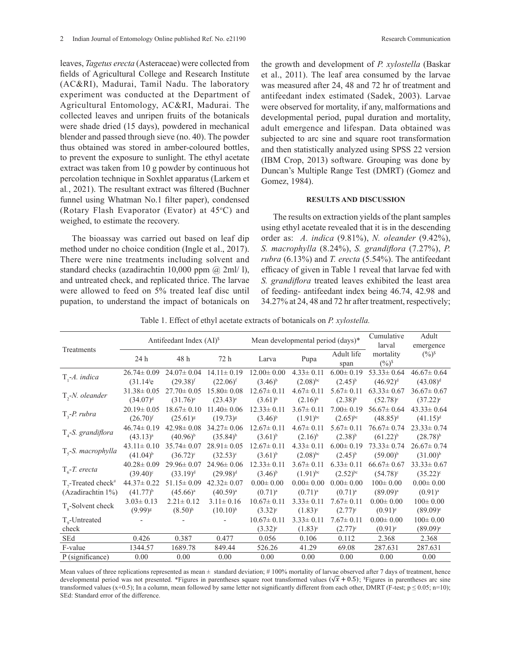leaves, *Tagetus erecta* (Asteraceae) were collected from fields of Agricultural College and Research Institute (AC&RI), Madurai, Tamil Nadu. The laboratory experiment was conducted at the Department of Agricultural Entomology, AC&RI, Madurai. The collected leaves and unripen fruits of the botanicals were shade dried (15 days), powdered in mechanical blender and passed through sieve (no. 40). The powder thus obtained was stored in amber-coloured bottles, to prevent the exposure to sunlight. The ethyl acetate extract was taken from 10 g powder by continuous hot percolation technique in Soxhlet apparatus (Larkem et al*.*, 2021). The resultant extract was filtered (Buchner funnel using Whatman No.1 filter paper), condensed

The bioassay was carried out based on leaf dip method under no choice condition (Ingle et al., 2017). There were nine treatments including solvent and standard checks (azadirachtin 10,000 ppm  $(a)$  2ml/ l), and untreated check, and replicated thrice. The larvae were allowed to feed on 5% treated leaf disc until pupation, to understand the impact of botanicals on

(Rotary Flash Evaporator (Evator) at 45°C) and

weighed, to estimate the recovery.

the growth and development of *P. xylostella* (Baskar et al., 2011). The leaf area consumed by the larvae was measured after 24, 48 and 72 hr of treatment and antifeedant index estimated (Sadek, 2003). Larvae were observed for mortality, if any, malformations and developmental period, pupal duration and mortality, adult emergence and lifespan. Data obtained was subjected to arc sine and square root transformation and then statistically analyzed using SPSS 22 version (IBM Crop, 2013) software. Grouping was done by Duncan's Multiple Range Test (DMRT) (Gomez and Gomez, 1984).

### **RESULTS AND DISCUSSION**

The results on extraction yields of the plant samples using ethyl acetate revealed that it is in the descending order as: *A. indica* (9.81%), *N. oleander* (9.42%), *S. macrophylla* (8.24%), *S. grandiflora* (7.27%), *P. rubra* (6.13%) and *T. erecta* (5.54%). The antifeedant efficacy of given in Table 1 reveal that larvae fed with *S. grandiflora* treated leaves exhibited the least area of feeding- antifeedant index being 46.74, 42.98 and 34.27% at 24, 48 and 72 hr after treatment, respectively;

Table 1. Effect of ethyl acetate extracts of botanicals on *P. xylostella.*

| Treatments                          | Antifeedant Index (AI) <sup>\$</sup> |                        |                  | Mean developmental period (days)* |                 |                    | Cumulative<br>larval                       | Adult<br>emergence   |
|-------------------------------------|--------------------------------------|------------------------|------------------|-----------------------------------|-----------------|--------------------|--------------------------------------------|----------------------|
|                                     | 24 h                                 | 48 h                   | 72 h             | Larva                             | Pupa            | Adult life<br>span | mortality<br>$(\frac{6}{5})^{\frac{5}{5}}$ | $(\frac{0}{0})^{\S}$ |
| $T, -A$ . indica                    | $26.74 \pm 0.09$                     | $24.07 \pm 0.04$       | $14.11 \pm 0.19$ | $12.00 \pm 0.00$                  | $4.33 \pm 0.11$ | $6.00 \pm 0.19$    | $53.33 \pm 0.64$                           | $46.67 \pm 0.64$     |
|                                     | $(31.14)$ e                          | $(29.38)^{f}$          | $(22.06)^{f}$    | $(3.46)^{b}$                      | $(2.08)^{bc}$   | $(2.45)^{b}$       | $(46.92)^{d}$                              | $(43.08)^d$          |
| $T, -N.$ oleander                   | $31.38 \pm 0.05$                     | $27.70 \pm 0.05$       | $15.80 \pm 0.08$ | $12.67 \pm 0.11$                  | $4.67 \pm 0.11$ | $5.67 \pm 0.11$    | $63.33 \pm 0.67$                           | $36.67 \pm 0.67$     |
|                                     | $(34.07)^{d}$                        | $(31.76)$ <sup>e</sup> | $(23.43)^e$      | $(3.61)^{b}$                      | $(2.16)^{b}$    | $(2.38)^{b}$       | $(52.78)^c$                                | $(37.22)^{\circ}$    |
| $T_{3}$ -P. rubra                   | $20.19 \pm 0.05$                     | $18.67 \pm 0.10$       | $11.40 \pm 0.06$ | $12.33 \pm 0.11$                  | $3.67 \pm 0.11$ | $7.00 \pm 0.19$    | $56.67 \pm 0.64$                           | $43.33 \pm 0.64$     |
|                                     | $(26.70)^{f}$                        | $(25.61)^{g}$          | $(19.73)^{8}$    | $(3.46)^{b}$                      | $(1.91)^{bc}$   | $(2.65)^{bc}$      | $(48.85)^{d}$                              | $(41.15)^d$          |
| $T4$ -S. grandiflora                | $46.74 \pm 0.19$                     | $42.98 \pm 0.08$       | $34.27 \pm 0.06$ | $12.67 \pm 0.11$                  | $4.67 \pm 0.11$ | $5.67 \pm 0.11$    | $76.67 \pm 0.74$                           | $23.33 \pm 0.74$     |
|                                     | $(43.13)^{a}$                        | $(40.96)^{b}$          | $(35.84)^{b}$    | $(3.61)^{b}$                      | $(2.16)^{b}$    | $(2.38)^{b}$       | $(61.22)^{b}$                              | $(28.78)^{b}$        |
| $T_s$ -S. macrophylla               | $43.11 \pm 0.10$                     | $35.74 \pm 0.07$       | $28.91 \pm 0.05$ | $12.67 \pm 0.11$                  | $4.33 \pm 0.11$ | $6.00 \pm 0.19$    | $73.33 \pm 0.74$                           | $26.67 \pm 0.74$     |
|                                     | $(41.04)^{b}$                        | $(36.72)^c$            | $(32.53)^c$      | $(3.61)^{b}$                      | $(2.08)^{bc}$   | $(2.45)^{b}$       | $(59.00)^{b}$                              | $(31.00)^{b}$        |
| $T_c$ -T. erecta                    | $40.28 \pm 0.09$                     | $29.96 \pm 0.07$       | $24.96 \pm 0.06$ | $12.33 \pm 0.11$                  | $3.67 \pm 0.11$ | $6.33 \pm 0.11$    | $66.67 \pm 0.67$                           | $33.33 \pm 0.67$     |
|                                     | $(39.40)$ <sup>c</sup>               | $(33.19)^d$            | $(29.98)^{d}$    | $(3.46)^{b}$                      | $(1.91)^{bc}$   | $(2.52)^{bc}$      | $(54.78)^c$                                | $(35.22)^c$          |
| $T_{7}$ -Treated check <sup>#</sup> | $44.37 \pm 0.22$                     | $51.15 \pm 0.09$       | $42.32 \pm 0.07$ | $0.00 \pm 0.00$                   | $0.00 \pm 0.00$ | $0.00 \pm 0.00$    | $100 \pm 0.00$                             | $0.00 \pm 0.00$      |
| (Azadirachtin 1%)                   | $(41.77)^{b}$                        | $(45.66)^a$            | $(40.59)^{a}$    | $(0.71)^{a}$                      | $(0.71)^{a}$    | $(0.71)^{a}$       | $(89.09)^{a}$                              | $(0.91)^{a}$         |
| $T_{\rm e}$ -Solvent check          | $3.03 \pm 0.13$                      | $2.21 \pm 0.12$        | $3.11 \pm 0.16$  | $10.67 \pm 0.11$                  | $3.33 \pm 0.11$ | $7.67 \pm 0.11$    | $0.00 \pm 0.00$                            | $100 \pm 0.00$       |
|                                     | $(9.99)^{g}$                         | $(8.50)$ <sup>h</sup>  | $(10.10)^{h}$    | $(3.32)^c$                        | $(1.83)^c$      | $(2.77)^{c}$       | $(0.91)^e$                                 | $(89.09)^e$          |
| $T_{o}$ -Untreated                  |                                      |                        |                  | $10.67 \pm 0.11$                  | $3.33 \pm 0.11$ | $7.67 \pm 0.11$    | $0.00 \pm 0.00$                            | $100 \pm 0.00$       |
| check                               |                                      |                        |                  | $(3.32)^c$                        | $(1.83)^c$      | $(2.77)^{c}$       | $(0.91)^e$                                 | $(89.09)^e$          |
| <b>SEd</b>                          | 0.426                                | 0.387                  | 0.477            | 0.056                             | 0.106           | 0.112              | 2.368                                      | 2.368                |
| F-value                             | 1344.57                              | 1689.78                | 849.44           | 526.26                            | 41.29           | 69.08              | 287.631                                    | 287.631              |
| P (significance)                    | 0.00                                 | 0.00                   | 0.00             | 0.00                              | 0.00            | 0.00               | 0.00                                       | 0.00                 |

Mean values of three replications represented as mean  $\pm$  standard deviation; #100% mortality of larvae observed after 7 days of treatment, hence developmental period was not presented. \*Figures in parentheses square root transformed values  $(\sqrt{x} + 0.5)$ ; \*Figures in parentheses arc sine transformed values (x+0.5); In a column, mean followed by same letter not significantly different from each other, DMRT (F-test;  $p \le 0.05$ ; n=10); SEd: Standard error of the difference.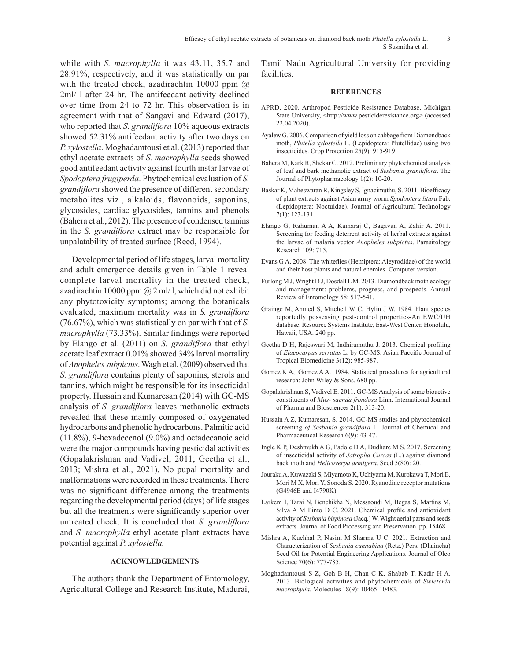while with *S. macrophylla* it was 43.11, 35.7 and 28.91%, respectively, and it was statistically on par with the treated check, azadirachtin 10000 ppm  $\omega$ 2ml/ l after 24 hr. The antifeedant activity declined over time from 24 to 72 hr. This observation is in agreement with that of Sangavi and Edward (2017), who reported that *S. grandiflora* 10% aqueous extracts showed 52.31% antifeedant activity after two days on *P. xylostella*. Moghadamtousi et al. (2013) reported that ethyl acetate extracts of *S. macrophylla* seeds showed good antifeedant activity against fourth instar larvae of *Spodoptera frugiperda*. Phytochemical evaluation of *S. grandiflora* showed the presence of different secondary metabolites viz., alkaloids, flavonoids, saponins, glycosides, cardiac glycosides, tannins and phenols (Bahera et al., 2012). The presence of condensed tannins in the *S. grandiflora* extract may be responsible for unpalatability of treated surface (Reed, 1994).

Developmental period of life stages, larval mortality and adult emergence details given in Table 1 reveal complete larval mortality in the treated check, azadirachtin 10000 ppm  $\omega$  2 ml/l, which did not exhibit any phytotoxicity symptoms; among the botanicals evaluated, maximum mortality was in *S. grandiflora* (76.67%), which was statistically on par with that of *S. macrophylla* (73.33%). Similar findings were reported by Elango et al. (2011) on *S. grandiflora* that ethyl acetate leaf extract 0.01% showed 34% larval mortality of *Anopheles subpictus*. Wagh et al. (2009) observed that *S. grandiflora* contains plenty of saponins, sterols and tannins, which might be responsible for its insecticidal property. Hussain and Kumaresan (2014) with GC-MS analysis of *S. grandiflora* leaves methanolic extracts revealed that these mainly composed of oxygenated hydrocarbons and phenolic hydrocarbons. Palmitic acid (11.8%), 9-hexadecenol (9.0%) and octadecanoic acid were the major compounds having pesticidal activities (Gopalakrishnan and Vadivel, 2011; Geetha et al., 2013; Mishra et al., 2021). No pupal mortality and malformations were recorded in these treatments. There was no significant difference among the treatments regarding the developmental period (days) of life stages but all the treatments were significantly superior over untreated check. It is concluded that *S. grandiflora*  and *S. macrophylla* ethyl acetate plant extracts have potential against *P. xylostella.* 

## **ACKNOWLEDGEMENTS**

The authors thank the Department of Entomology, Agricultural College and Research Institute, Madurai, Tamil Nadu Agricultural University for providing facilities.

#### **REFERENCES**

- APRD. 2020. Arthropod Pesticide Resistance Database, Michigan State University, <http://www.pesticideresistance.org> (accessed 22.04.2020).
- Ayalew G. 2006. Comparison of yield loss on cabbage from Diamondback moth, *Plutella xylostella* L. (Lepidoptera: Plutellidae) using two insecticides. Crop Protection 25(9): 915-919.
- Bahera M, Kark R, Shekar C. 2012. Preliminary phytochemical analysis of leaf and bark methanolic extract of *Sesbania grandiflora*. The Journal of Phytopharmacology 1(2): 10-20.
- Baskar K, Maheswaran R, Kingsley S, Ignacimuthu, S. 2011. Bioefficacy of plant extracts against Asian army worm *Spodoptera litura* Fab. (Lepidoptera: Noctuidae). Journal of Agricultural Technology 7(1): 123-131.
- Elango G, Rahuman A A, Kamaraj C, Bagavan A, Zahir A. 2011. Screening for feeding deterrent activity of herbal extracts against the larvae of malaria vector *Anopheles subpictus*. Parasitology Research 109: 715.
- Evans G A. 2008. The whiteflies (Hemiptera: Aleyrodidae) of the world and their host plants and natural enemies. Computer version.
- Furlong M J, Wright D J, Dosdall L M. 2013. Diamondback moth ecology and management: problems, progress, and prospects. Annual Review of Entomology 58: 517-541.
- Grainge M, Ahmed S, Mitchell W C, Hylin J W. 1984. Plant species reportedly possessing pest-control properties-An EWC/UH database. Resource Systems Institute, East-West Center, Honolulu, Hawaii, USA. 240 pp.
- Geetha D H, Rajeswari M, Indhiramuthu J. 2013. Chemical profiling of *Elaeocarpus serratus* L. by GC-MS. Asian Paccific Journal of Tropical Biomedicine 3(12): 985-987.
- Gomez K A, Gomez A A. 1984. Statistical procedures for agricultural research: John Wiley & Sons. 680 pp.
- Gopalakrishnan S, Vadivel E. 2011. GC-MS Analysis of some bioactive constituents of *Mus- saenda frondosa* Linn. International Journal of Pharma and Biosciences 2(1): 313-20.
- Hussain A Z, Kumaresan, S. 2014. GC-MS studies and phytochemical screening *of Sesbania grandiflora* L. Journal of Chemical and Pharmaceutical Research 6(9): 43-47.
- Ingle K P, Deshmukh A G, Padole D A, Dudhare M S. 2017. Screening of insecticidal activity of *Jatropha Curcas* (L.) against diamond back moth and *Helicoverpa armigera*. Seed 5(80): 20.
- Jouraku A, Kuwazaki S, Miyamoto K, Uchiyama M, Kurokawa T, Mori E, Mori M X, Mori Y, Sonoda S. 2020. Ryanodine receptor mutations (G4946E and I4790K).
- Larkem I, Tarai N, Benchikha N, Messaoudi M, Begaa S, Martins M, Silva A M Pinto D C. 2021. Chemical profile and antioxidant activity of *Sesbania bispinosa* (Jacq.) W. Wight aerial parts and seeds extracts. Journal of Food Processing and Preservation. pp. 15468.
- Mishra A, Kuchhal P, Nasim M Sharma U C. 2021. Extraction and Characterization of *Sesbania cannabina* (Retz.) Pers. (Dhaincha) Seed Oil for Potential Engineering Applications. Journal of Oleo Science 70(6): 777-785.
- Moghadamtousi S Z, Goh B H, Chan C K, Shabab T, Kadir H A. 2013. Biological activities and phytochemicals of *Swietenia macrophylla*. Molecules 18(9): 10465-10483.